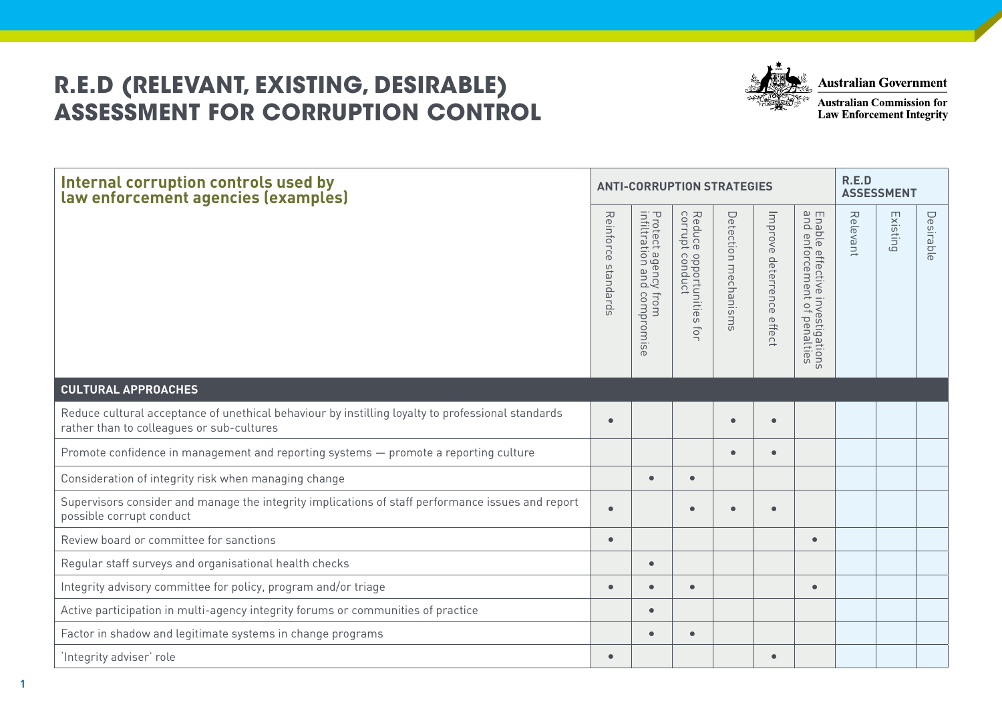## **R.E.D (RELEVANT, EXISTING, DESIRABLE) ASSESSMENT FOR CORRUPTION CONTROL**



**Australian Government** 

**Australian Commission for Law Enforcement Integrity** 

| Internal corruption controls used by<br>law enforcement agencies (examples)                                                                    |                        | <b>ANTI-CORRUPTION STRATEGIES</b>                                   | R.E.D<br><b>ASSESSMENT</b>                                            |                                         |                              |                                                                        |          |          |           |
|------------------------------------------------------------------------------------------------------------------------------------------------|------------------------|---------------------------------------------------------------------|-----------------------------------------------------------------------|-----------------------------------------|------------------------------|------------------------------------------------------------------------|----------|----------|-----------|
|                                                                                                                                                | Reinforce<br>spuepuess | Protect agency<br>infiltration and<br>compromis<br>from<br>$\sigma$ | Reduce<br>corrupt<br>$\circ$<br>opportunities<br>conduct<br>$\vec{o}$ | Detectio<br>$\Rightarrow$<br>mechanisms | Improve deterrence<br>effect | Ena<br>and<br>ble effective investigations<br>enforcement of penalties | Relevant | Existing | Desirable |
| <b>CULTURAL APPROACHES</b>                                                                                                                     |                        |                                                                     |                                                                       |                                         |                              |                                                                        |          |          |           |
| Reduce cultural acceptance of unethical behaviour by instilling loyalty to professional standards<br>rather than to colleagues or sub-cultures |                        |                                                                     |                                                                       |                                         | $\bullet$                    |                                                                        |          |          |           |
| Promote confidence in management and reporting systems - promote a reporting culture                                                           |                        |                                                                     |                                                                       | $\bullet$                               | $\bullet$                    |                                                                        |          |          |           |
| Consideration of integrity risk when managing change                                                                                           |                        | $\bullet$                                                           | $\bullet$                                                             |                                         |                              |                                                                        |          |          |           |
| Supervisors consider and manage the integrity implications of staff performance issues and report<br>possible corrupt conduct                  |                        |                                                                     | $\bullet$                                                             |                                         | $\bullet$                    |                                                                        |          |          |           |
| Review board or committee for sanctions                                                                                                        | $\bullet$              |                                                                     |                                                                       |                                         |                              | $\bullet$                                                              |          |          |           |
| Regular staff surveys and organisational health checks                                                                                         |                        | $\bullet$                                                           |                                                                       |                                         |                              |                                                                        |          |          |           |
| Integrity advisory committee for policy, program and/or triage                                                                                 | $\bullet$              | $\bullet$                                                           | $\bullet$                                                             |                                         |                              | ٠                                                                      |          |          |           |
| Active participation in multi-agency integrity forums or communities of practice                                                               |                        | $\bullet$                                                           |                                                                       |                                         |                              |                                                                        |          |          |           |
| Factor in shadow and legitimate systems in change programs                                                                                     |                        | $\bullet$                                                           | $\bullet$                                                             |                                         |                              |                                                                        |          |          |           |
| 'Integrity adviser' role                                                                                                                       | $\bullet$              |                                                                     |                                                                       |                                         | $\bullet$                    |                                                                        |          |          |           |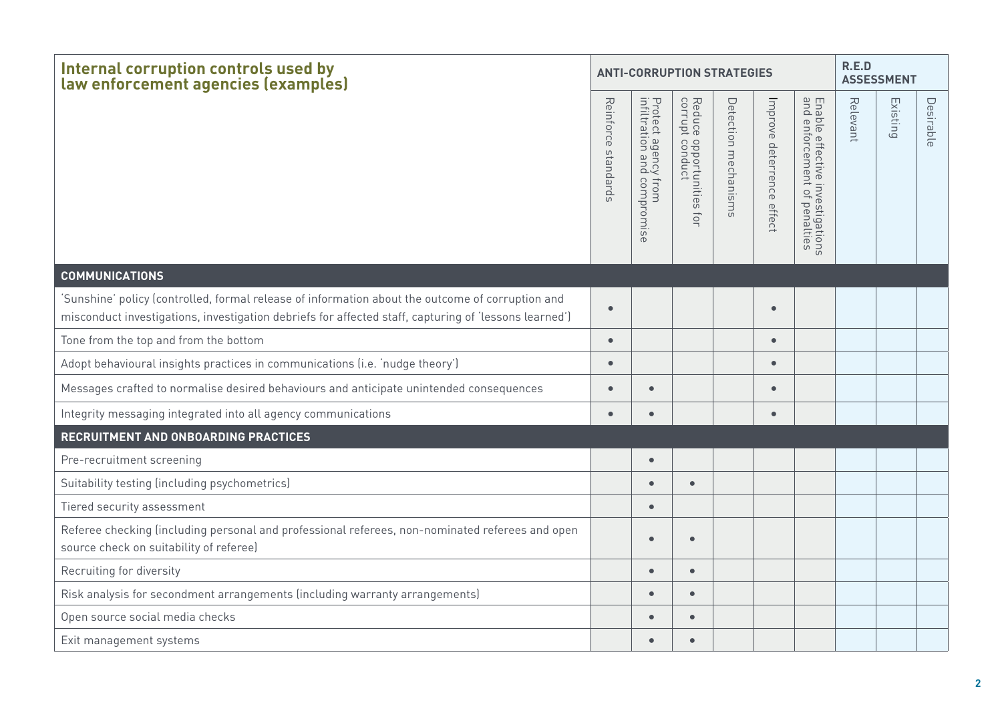| Internal corruption controls used by<br>law enforcement agencies (examples)                                                                                                                               |                        | <b>ANTI-CORRUPTION STRATEGIES</b>                  | R.E.D<br><b>ASSESSMENT</b>                                                  |                         |                           |                                                                 |          |          |           |
|-----------------------------------------------------------------------------------------------------------------------------------------------------------------------------------------------------------|------------------------|----------------------------------------------------|-----------------------------------------------------------------------------|-------------------------|---------------------------|-----------------------------------------------------------------|----------|----------|-----------|
|                                                                                                                                                                                                           | Reinforce<br>spuepuess | Protect agency from<br>infiltration and compromise | Reduce<br>corrupt<br>e opportunities :<br>t conduct<br>$\overrightarrow{O}$ | Detection<br>mechanisms | Improve deterrence effect | Enable effective investigations<br>and enforcement of penalties | Relevant | Existing | Desirable |
| <b>COMMUNICATIONS</b>                                                                                                                                                                                     |                        |                                                    |                                                                             |                         |                           |                                                                 |          |          |           |
| 'Sunshine' policy (controlled, formal release of information about the outcome of corruption and<br>misconduct investigations, investigation debriefs for affected staff, capturing of 'lessons learned') | $\bullet$              |                                                    |                                                                             |                         | $\bullet$                 |                                                                 |          |          |           |
| Tone from the top and from the bottom                                                                                                                                                                     | $\bullet$              |                                                    |                                                                             |                         | $\bullet$                 |                                                                 |          |          |           |
| Adopt behavioural insights practices in communications (i.e. 'nudge theory')                                                                                                                              | $\bullet$              |                                                    |                                                                             |                         | $\bullet$                 |                                                                 |          |          |           |
| Messages crafted to normalise desired behaviours and anticipate unintended consequences                                                                                                                   | $\bullet$              | $\bullet$                                          |                                                                             |                         | $\bullet$                 |                                                                 |          |          |           |
| Integrity messaging integrated into all agency communications                                                                                                                                             | $\bullet$              | $\bullet$                                          |                                                                             |                         | $\bullet$                 |                                                                 |          |          |           |
| RECRUITMENT AND ONBOARDING PRACTICES                                                                                                                                                                      |                        |                                                    |                                                                             |                         |                           |                                                                 |          |          |           |
| Pre-recruitment screening                                                                                                                                                                                 |                        | $\bullet$                                          |                                                                             |                         |                           |                                                                 |          |          |           |
| Suitability testing (including psychometrics)                                                                                                                                                             |                        | $\bullet$                                          | $\bullet$                                                                   |                         |                           |                                                                 |          |          |           |
| Tiered security assessment                                                                                                                                                                                |                        | $\bullet$                                          |                                                                             |                         |                           |                                                                 |          |          |           |
| Referee checking (including personal and professional referees, non-nominated referees and open<br>source check on suitability of referee)                                                                |                        | $\bullet$                                          | $\bullet$                                                                   |                         |                           |                                                                 |          |          |           |
| Recruiting for diversity                                                                                                                                                                                  |                        | $\bullet$                                          | $\bullet$                                                                   |                         |                           |                                                                 |          |          |           |
| Risk analysis for secondment arrangements (including warranty arrangements)                                                                                                                               |                        | $\bullet$                                          | $\bullet$                                                                   |                         |                           |                                                                 |          |          |           |
| Open source social media checks                                                                                                                                                                           |                        | $\bullet$                                          | $\bullet$                                                                   |                         |                           |                                                                 |          |          |           |
| Exit management systems                                                                                                                                                                                   |                        | $\bullet$                                          | $\bullet$                                                                   |                         |                           |                                                                 |          |          |           |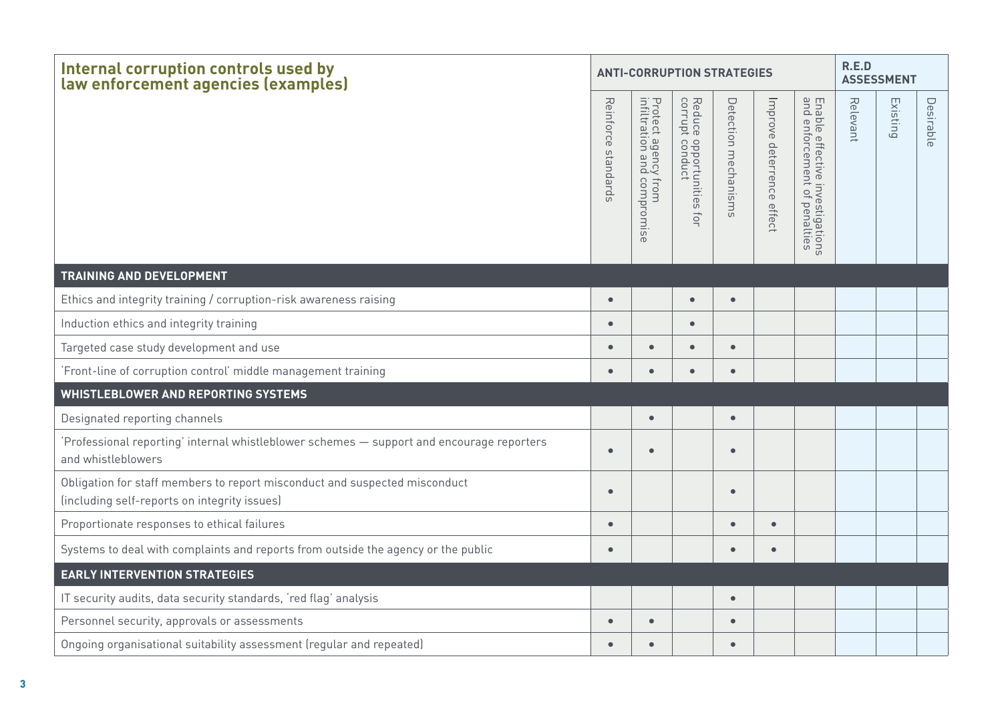| Internal corruption controls used by<br>law enforcement agencies (examples)                                                | <b>ANTI-CORRUPTION STRATEGIES</b> |                                                                | R.E.D<br><b>ASSESSMENT</b>                                            |                      |                           |                                                                 |          |          |           |
|----------------------------------------------------------------------------------------------------------------------------|-----------------------------------|----------------------------------------------------------------|-----------------------------------------------------------------------|----------------------|---------------------------|-----------------------------------------------------------------|----------|----------|-----------|
|                                                                                                                            | Reinforce<br>standards            | Protect agency !<br>infiltration and<br>y from<br>1 compromise | Reduce<br>corrupt<br>e opportunities :<br>t conduct<br>$\overline{O}$ | Detection mechanisms | Improve deterrence effect | Enable effective investigations<br>and enforcement of penalties | Relevant | Existing | Desirable |
| <b>TRAINING AND DEVELOPMENT</b>                                                                                            |                                   |                                                                |                                                                       |                      |                           |                                                                 |          |          |           |
| Ethics and integrity training / corruption-risk awareness raising                                                          | $\bullet$                         |                                                                | $\bullet$                                                             | $\bullet$            |                           |                                                                 |          |          |           |
| Induction ethics and integrity training                                                                                    | $\bullet$                         |                                                                | $\bullet$                                                             |                      |                           |                                                                 |          |          |           |
| Targeted case study development and use                                                                                    | $\bullet$                         | $\bullet$                                                      | $\bullet$                                                             | $\bullet$            |                           |                                                                 |          |          |           |
| Front-line of corruption control' middle management training                                                               | $\bullet$                         | $\bullet$                                                      | $\bullet$                                                             | $\bullet$            |                           |                                                                 |          |          |           |
| <b>WHISTLEBLOWER AND REPORTING SYSTEMS</b>                                                                                 |                                   |                                                                |                                                                       |                      |                           |                                                                 |          |          |           |
| Designated reporting channels                                                                                              |                                   | $\bullet$                                                      |                                                                       | $\bullet$            |                           |                                                                 |          |          |           |
| 'Professional reporting' internal whistleblower schemes - support and encourage reporters<br>and whistleblowers            | $\bullet$                         | $\bullet$                                                      |                                                                       | $\bullet$            |                           |                                                                 |          |          |           |
| Obligation for staff members to report misconduct and suspected misconduct<br>(including self-reports on integrity issues) | $\bullet$                         |                                                                |                                                                       | $\bullet$            |                           |                                                                 |          |          |           |
| Proportionate responses to ethical failures                                                                                | $\bullet$                         |                                                                |                                                                       | $\bullet$            | $\bullet$                 |                                                                 |          |          |           |
| Systems to deal with complaints and reports from outside the agency or the public                                          | $\bullet$                         |                                                                |                                                                       |                      | $\bullet$                 |                                                                 |          |          |           |
| <b>EARLY INTERVENTION STRATEGIES</b>                                                                                       |                                   |                                                                |                                                                       |                      |                           |                                                                 |          |          |           |
| IT security audits, data security standards, 'red flag' analysis                                                           |                                   |                                                                |                                                                       | $\bullet$            |                           |                                                                 |          |          |           |
| Personnel security, approvals or assessments                                                                               | $\bullet$                         | $\bullet$                                                      |                                                                       | $\bullet$            |                           |                                                                 |          |          |           |
| Ongoing organisational suitability assessment (regular and repeated)                                                       | $\bullet$                         | $\bullet$                                                      |                                                                       | $\bullet$            |                           |                                                                 |          |          |           |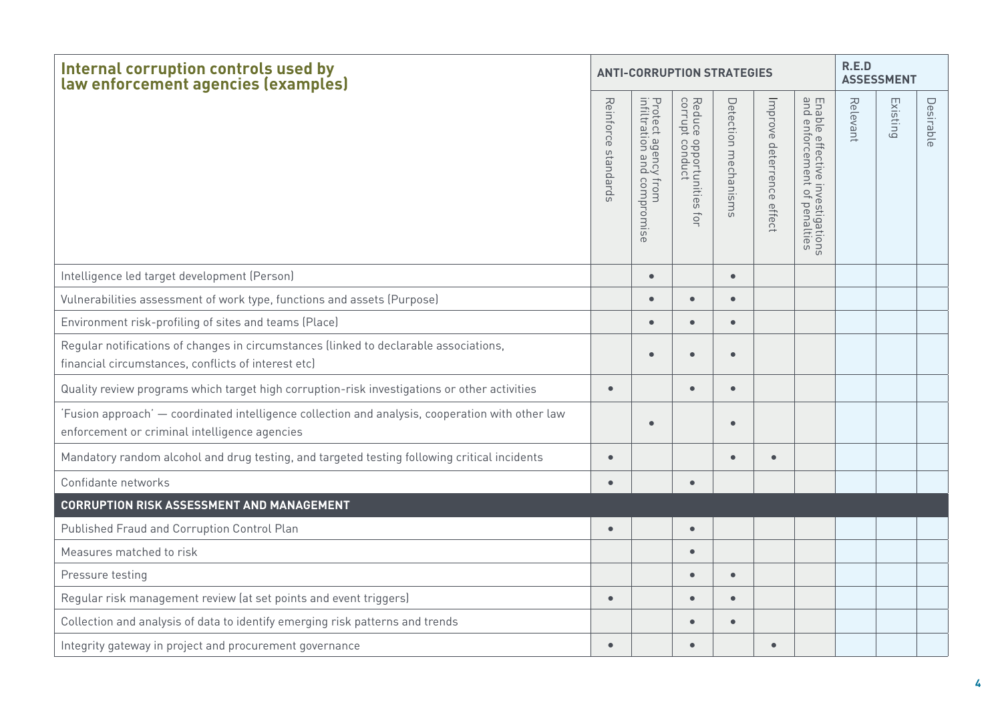| Internal corruption controls used by<br>law enforcement agencies (examples)                                                                      |                        | <b>ANTI-CORRUPTION STRATEGIES</b>                            |                                                            | R.E.D<br><b>ASSESSMENT</b> |                           |                                                                         |          |          |           |
|--------------------------------------------------------------------------------------------------------------------------------------------------|------------------------|--------------------------------------------------------------|------------------------------------------------------------|----------------------------|---------------------------|-------------------------------------------------------------------------|----------|----------|-----------|
|                                                                                                                                                  | Reinforce<br>spuepuess | Protect agency<br>infiltration and<br>y from<br>1 compromise | Reduce<br>corrupt<br>e opportunities :<br>t conduct<br>ĮOI | Detection<br>mechanisms    | Improve deterrence effect | Enal<br>and<br>ble effective investigations<br>enforcement of penalties | Relevant | Existing | Desirable |
| Intelligence led target development (Person)                                                                                                     |                        | $\bullet$                                                    |                                                            | $\bullet$                  |                           |                                                                         |          |          |           |
| Vulnerabilities assessment of work type, functions and assets (Purpose)                                                                          |                        | $\bullet$                                                    | $\bullet$                                                  |                            |                           |                                                                         |          |          |           |
| Environment risk-profiling of sites and teams (Place)                                                                                            |                        | $\bullet$                                                    | $\bullet$                                                  |                            |                           |                                                                         |          |          |           |
| Regular notifications of changes in circumstances (linked to declarable associations,<br>financial circumstances, conflicts of interest etc)     |                        | $\bullet$                                                    | $\bullet$                                                  |                            |                           |                                                                         |          |          |           |
| Quality review programs which target high corruption-risk investigations or other activities                                                     | $\bullet$              |                                                              | $\bullet$                                                  |                            |                           |                                                                         |          |          |           |
| Fusion approach' - coordinated intelligence collection and analysis, cooperation with other law<br>enforcement or criminal intelligence agencies |                        | $\bullet$                                                    |                                                            | $\bullet$                  |                           |                                                                         |          |          |           |
| Mandatory random alcohol and drug testing, and targeted testing following critical incidents                                                     | $\bullet$              |                                                              |                                                            |                            | $\bullet$                 |                                                                         |          |          |           |
| Confidante networks                                                                                                                              | $\bullet$              |                                                              | $\bullet$                                                  |                            |                           |                                                                         |          |          |           |
| <b>CORRUPTION RISK ASSESSMENT AND MANAGEMENT</b>                                                                                                 |                        |                                                              |                                                            |                            |                           |                                                                         |          |          |           |
| Published Fraud and Corruption Control Plan                                                                                                      | $\bullet$              |                                                              | $\bullet$                                                  |                            |                           |                                                                         |          |          |           |
| Measures matched to risk                                                                                                                         |                        |                                                              | $\bullet$                                                  |                            |                           |                                                                         |          |          |           |
| Pressure testing                                                                                                                                 |                        |                                                              | $\bullet$                                                  | $\bullet$                  |                           |                                                                         |          |          |           |
| Regular risk management review (at set points and event triggers)                                                                                | $\bullet$              |                                                              | $\bullet$                                                  |                            |                           |                                                                         |          |          |           |
| Collection and analysis of data to identify emerging risk patterns and trends                                                                    |                        |                                                              | Ō                                                          |                            |                           |                                                                         |          |          |           |
| Integrity gateway in project and procurement governance                                                                                          | $\bullet$              |                                                              | $\bullet$                                                  |                            | $\bullet$                 |                                                                         |          |          |           |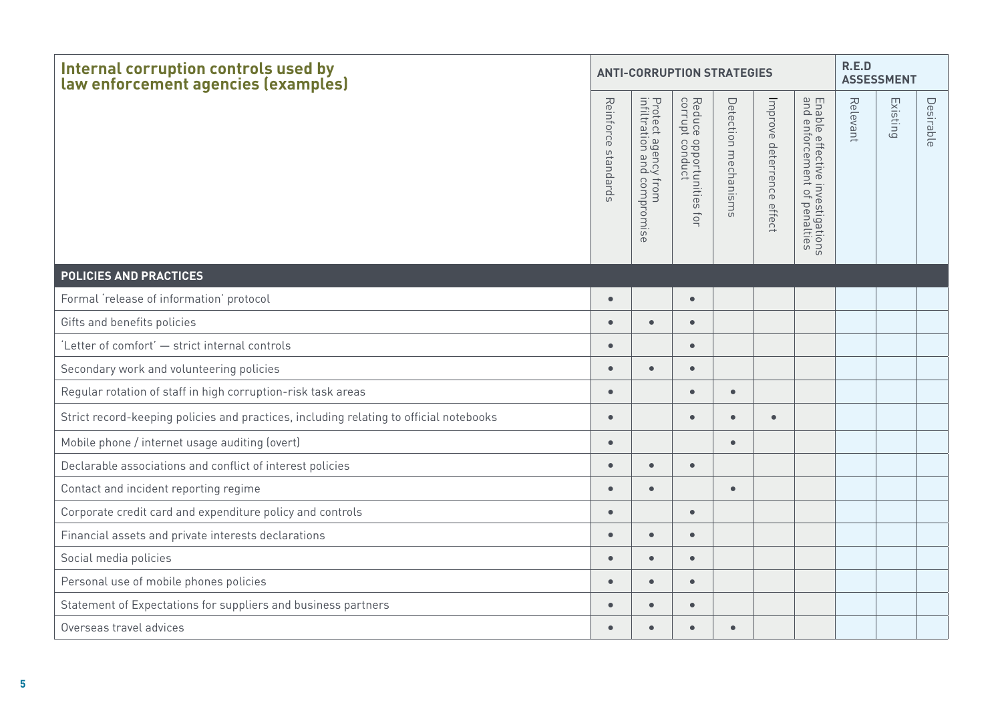| Internal corruption controls used by<br>law enforcement agencies (examples)            |                        | <b>ANTI-CORRUPTION STRATEGIES</b>                  |                                                            | R.E.D<br><b>ASSESSMENT</b> |                           |                                                                  |          |          |           |  |
|----------------------------------------------------------------------------------------|------------------------|----------------------------------------------------|------------------------------------------------------------|----------------------------|---------------------------|------------------------------------------------------------------|----------|----------|-----------|--|
|                                                                                        | Reinforce<br>spuepuess | Protect agency from<br>infiltration and compromise | Reduce<br>corrupt<br>e opportunities :<br>t conduct<br>for | Detection mechanisms       | Improve deterrence effect | Enal<br>ble effective investigations<br>enforcement of penalties | Relevant | Existing | Desirable |  |
| <b>POLICIES AND PRACTICES</b>                                                          |                        |                                                    |                                                            |                            |                           |                                                                  |          |          |           |  |
| Formal 'release of information' protocol                                               | $\bullet$              |                                                    | $\bullet$                                                  |                            |                           |                                                                  |          |          |           |  |
| Gifts and benefits policies                                                            | $\bullet$              | $\bullet$                                          | $\bullet$                                                  |                            |                           |                                                                  |          |          |           |  |
| 'Letter of comfort' - strict internal controls                                         | $\bullet$              |                                                    | $\bullet$                                                  |                            |                           |                                                                  |          |          |           |  |
| Secondary work and volunteering policies                                               | $\bullet$              | $\bullet$                                          | $\bullet$                                                  |                            |                           |                                                                  |          |          |           |  |
| Regular rotation of staff in high corruption-risk task areas                           | $\bullet$              |                                                    | $\bullet$                                                  | $\bullet$                  |                           |                                                                  |          |          |           |  |
| Strict record-keeping policies and practices, including relating to official notebooks | $\bullet$              |                                                    | $\bullet$                                                  | $\bullet$                  | $\bullet$                 |                                                                  |          |          |           |  |
| Mobile phone / internet usage auditing (overt)                                         | $\bullet$              |                                                    |                                                            | $\bullet$                  |                           |                                                                  |          |          |           |  |
| Declarable associations and conflict of interest policies                              | $\bullet$              | $\bullet$                                          | $\bullet$                                                  |                            |                           |                                                                  |          |          |           |  |
| Contact and incident reporting regime                                                  | $\bullet$              | $\bullet$                                          |                                                            | $\bullet$                  |                           |                                                                  |          |          |           |  |
| Corporate credit card and expenditure policy and controls                              | $\bullet$              |                                                    | $\bullet$                                                  |                            |                           |                                                                  |          |          |           |  |
| Financial assets and private interests declarations                                    | $\bullet$              | $\bullet$                                          | $\bullet$                                                  |                            |                           |                                                                  |          |          |           |  |
| Social media policies                                                                  | $\bullet$              | $\bullet$                                          | $\bullet$                                                  |                            |                           |                                                                  |          |          |           |  |
| Personal use of mobile phones policies                                                 | $\bullet$              | $\bullet$                                          | $\bullet$                                                  |                            |                           |                                                                  |          |          |           |  |
| Statement of Expectations for suppliers and business partners                          | $\bullet$              | $\bullet$                                          | $\bullet$                                                  |                            |                           |                                                                  |          |          |           |  |
| Overseas travel advices                                                                | $\bullet$              | $\bullet$                                          | $\bullet$                                                  | $\bullet$                  |                           |                                                                  |          |          |           |  |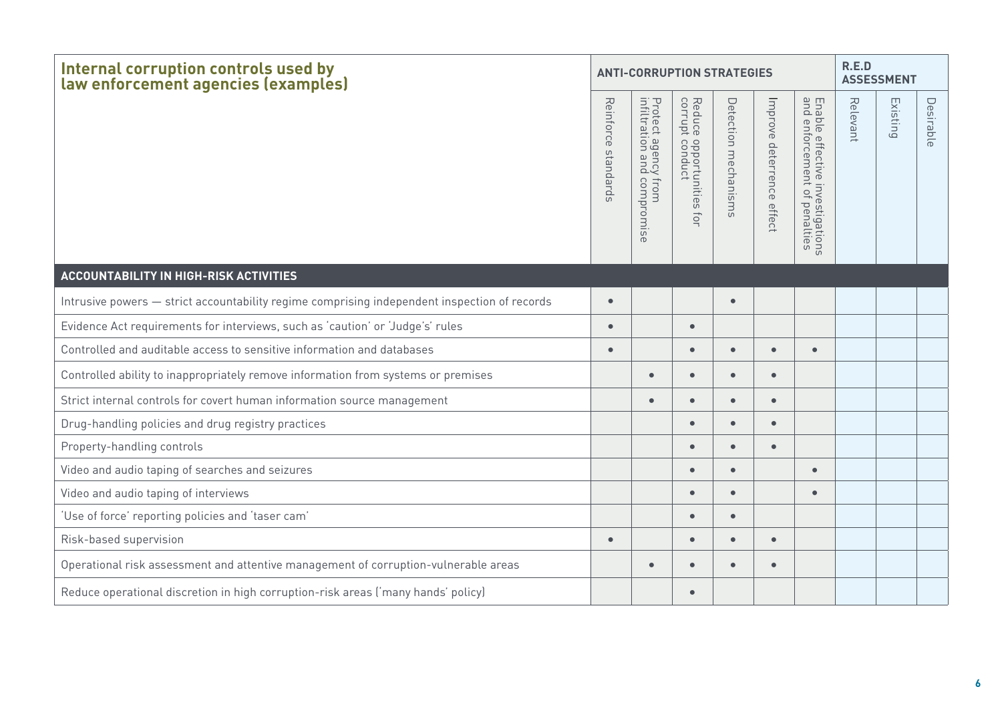| Internal corruption controls used by<br>law enforcement agencies (examples)                  |                        | <b>ANTI-CORRUPTION STRATEGIES</b>                                | R.E.D<br><b>ASSESSMENT</b>                                 |                         |                           |                                                                                                |          |          |           |
|----------------------------------------------------------------------------------------------|------------------------|------------------------------------------------------------------|------------------------------------------------------------|-------------------------|---------------------------|------------------------------------------------------------------------------------------------|----------|----------|-----------|
|                                                                                              | Reinforce<br>standards | Protect agency f<br>infiltration and c<br>y from<br>I compromise | Reduce<br>corrupt<br>e opportunities †<br>t conduct<br>for | Detection<br>mechanisms | Improve deterrence effect | Enable effective<br>and enforcemen<br>emen <sup>®</sup><br>e investigations<br>nt of penalties | Relevant | Existing | Desirable |
| ACCOUNTABILITY IN HIGH-RISK ACTIVITIES                                                       |                        |                                                                  |                                                            |                         |                           |                                                                                                |          |          |           |
| Intrusive powers - strict accountability regime comprising independent inspection of records | $\bullet$              |                                                                  |                                                            | $\bullet$               |                           |                                                                                                |          |          |           |
| Evidence Act requirements for interviews, such as 'caution' or 'Judge's' rules               | $\bullet$              |                                                                  | $\bullet$                                                  |                         |                           |                                                                                                |          |          |           |
| Controlled and auditable access to sensitive information and databases                       | $\bullet$              |                                                                  | $\bullet$                                                  | $\bullet$               | $\bullet$                 | $\bullet$                                                                                      |          |          |           |
| Controlled ability to inappropriately remove information from systems or premises            |                        | $\bullet$                                                        | $\bullet$                                                  |                         | $\bullet$                 |                                                                                                |          |          |           |
| Strict internal controls for covert human information source management                      |                        | $\bullet$                                                        | $\bullet$                                                  | $\bullet$               | $\bullet$                 |                                                                                                |          |          |           |
| Drug-handling policies and drug registry practices                                           |                        |                                                                  | $\bullet$                                                  | $\bullet$               | $\bullet$                 |                                                                                                |          |          |           |
| Property-handling controls                                                                   |                        |                                                                  | $\bullet$                                                  | $\bullet$               | $\bullet$                 |                                                                                                |          |          |           |
| Video and audio taping of searches and seizures                                              |                        |                                                                  | $\bullet$                                                  | $\bullet$               |                           | $\bullet$                                                                                      |          |          |           |
| Video and audio taping of interviews                                                         |                        |                                                                  | $\bullet$                                                  | $\bullet$               |                           | $\bullet$                                                                                      |          |          |           |
| 'Use of force' reporting policies and 'taser cam'                                            |                        |                                                                  | $\bullet$                                                  | $\bullet$               |                           |                                                                                                |          |          |           |
| Risk-based supervision                                                                       | $\bullet$              |                                                                  | $\bullet$                                                  |                         | $\bullet$                 |                                                                                                |          |          |           |
| Operational risk assessment and attentive management of corruption-vulnerable areas          |                        | $\bullet$                                                        | $\bullet$                                                  | $\bullet$               | $\bullet$                 |                                                                                                |          |          |           |
| Reduce operational discretion in high corruption-risk areas ('many hands' policy)            |                        |                                                                  | $\bullet$                                                  |                         |                           |                                                                                                |          |          |           |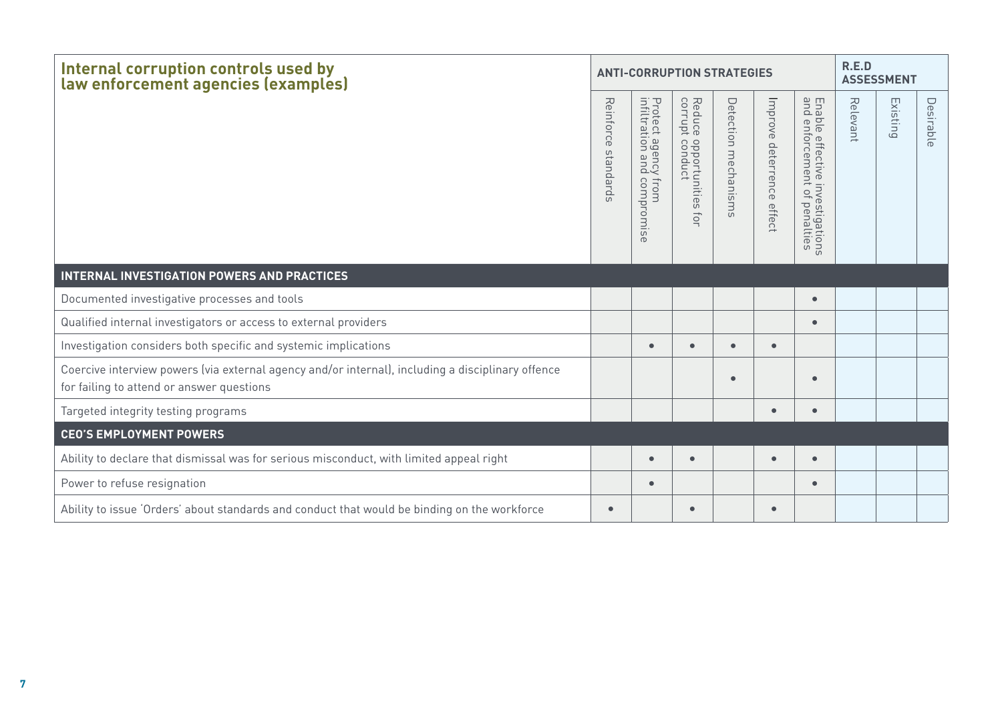| Internal corruption controls used by<br>law enforcement agencies (examples)                                                                    |                                         | <b>ANTI-CORRUPTION STRATEGIES</b>                                        | R.E.D<br><b>ASSESSMENT</b>                                                       |                         |                           |                                                                        |          |          |           |
|------------------------------------------------------------------------------------------------------------------------------------------------|-----------------------------------------|--------------------------------------------------------------------------|----------------------------------------------------------------------------------|-------------------------|---------------------------|------------------------------------------------------------------------|----------|----------|-----------|
|                                                                                                                                                | Reinforce<br>standard<br>$\overline{u}$ | Protect agency<br>infiltration and<br>/ from<br>  compromise<br>$\sigma$ | Reduce<br>corrupt<br>$rac{1}{2}$<br>pportunities<br>pnduct<br>$\overline{\circ}$ | Detection<br>mechanisms | Improve deterrence effect | Ena<br>and<br>ble effective investigations<br>enforcement of penalties | Relevant | Existing | Desirable |
| <b>INTERNAL INVESTIGATION POWERS AND PRACTICES</b>                                                                                             |                                         |                                                                          |                                                                                  |                         |                           |                                                                        |          |          |           |
| Documented investigative processes and tools                                                                                                   |                                         |                                                                          |                                                                                  |                         |                           | $\bullet$                                                              |          |          |           |
| Qualified internal investigators or access to external providers                                                                               |                                         |                                                                          |                                                                                  |                         |                           | $\bullet$                                                              |          |          |           |
| Investigation considers both specific and systemic implications                                                                                |                                         | $\bullet$                                                                | $\bullet$                                                                        | $\bullet$               | $\bullet$                 |                                                                        |          |          |           |
| Coercive interview powers (via external agency and/or internal), including a disciplinary offence<br>for failing to attend or answer questions |                                         |                                                                          |                                                                                  |                         |                           |                                                                        |          |          |           |
| Targeted integrity testing programs                                                                                                            |                                         |                                                                          |                                                                                  |                         | $\bullet$                 | $\bullet$                                                              |          |          |           |
| <b>CEO'S EMPLOYMENT POWERS</b>                                                                                                                 |                                         |                                                                          |                                                                                  |                         |                           |                                                                        |          |          |           |
| Ability to declare that dismissal was for serious misconduct, with limited appeal right                                                        |                                         | $\bullet$                                                                | $\bullet$                                                                        |                         | $\bullet$                 | $\bullet$                                                              |          |          |           |
| Power to refuse resignation                                                                                                                    |                                         | $\bullet$                                                                |                                                                                  |                         |                           | $\bullet$                                                              |          |          |           |
| Ability to issue 'Orders' about standards and conduct that would be binding on the workforce                                                   | $\bullet$                               |                                                                          | $\bullet$                                                                        |                         | $\bullet$                 |                                                                        |          |          |           |